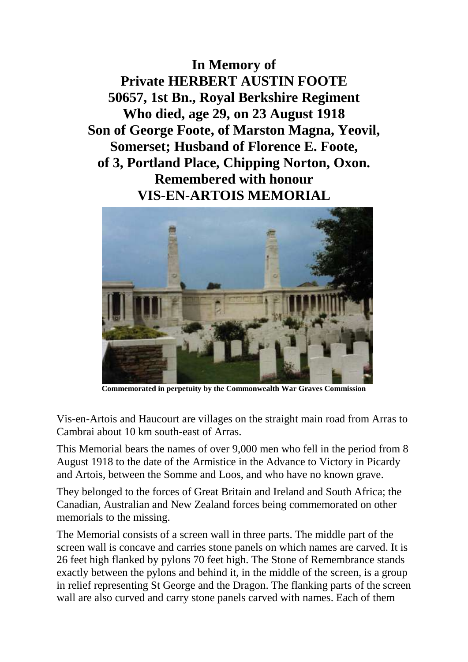**In Memory of Private HERBERT AUSTIN FOOTE 50657, 1st Bn., Royal Berkshire Regiment Who died, age 29, on 23 August 1918 Son of George Foote, of Marston Magna, Yeovil, Somerset; Husband of Florence E. Foote, of 3, Portland Place, Chipping Norton, Oxon. Remembered with honour VIS-EN-ARTOIS MEMORIAL**



**Commemorated in perpetuity by the Commonwealth War Graves Commission**

Vis-en-Artois and Haucourt are villages on the straight main road from Arras to Cambrai about 10 km south-east of Arras.

This Memorial bears the names of over 9,000 men who fell in the period from 8 August 1918 to the date of the Armistice in the Advance to Victory in Picardy and Artois, between the Somme and Loos, and who have no known grave.

They belonged to the forces of Great Britain and Ireland and South Africa; the Canadian, Australian and New Zealand forces being commemorated on other memorials to the missing.

The Memorial consists of a screen wall in three parts. The middle part of the screen wall is concave and carries stone panels on which names are carved. It is 26 feet high flanked by pylons 70 feet high. The Stone of Remembrance stands exactly between the pylons and behind it, in the middle of the screen, is a group in relief representing St George and the Dragon. The flanking parts of the screen wall are also curved and carry stone panels carved with names. Each of them